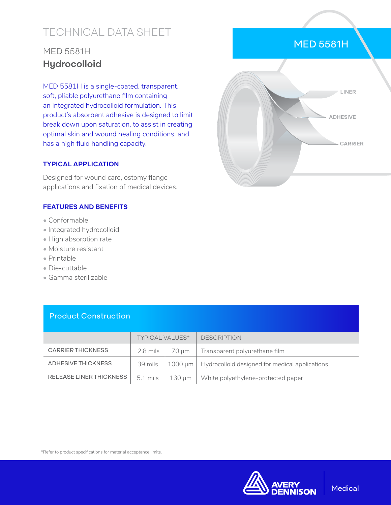# TECHNICAL DATA SHEET

## MED 5581H **Hydrocolloid**

MED 5581H is a single-coated, transparent, soft, pliable polyurethane film containing an integrated hydrocolloid formulation. This product's absorbent adhesive is designed to limit break down upon saturation, to assist in creating optimal skin and wound healing conditions, and has a high fluid handling capacity.

#### **TYPICAL APPLICATION**

Designed for wound care, ostomy flange applications and fixation of medical devices.

#### **FEATURES AND BENEFITS**

- Conformable
- Integrated hydrocolloid
- High absorption rate
- Moisture resistant
- Printable
- Die-cuttable
- Gamma sterilizable

|                           | <b>TYPICAL VALUES*</b> |         | <b>DESCRIPTION</b>                             |
|---------------------------|------------------------|---------|------------------------------------------------|
| <b>CARRIER THICKNESS</b>  | $2.8$ mils             | 70 um   | Transparent polyurethane film                  |
| <b>ADHESIVE THICKNESS</b> | 39 mils                | 1000 um | Hydrocolloid designed for medical applications |
| RELEASE LINER THICKNESS   | $5.1$ mils             | 130 µm  | White polyethylene-protected paper             |

#### Product Construction

#### \*Refer to product specifications for material acceptance limits.



### MED 5581H